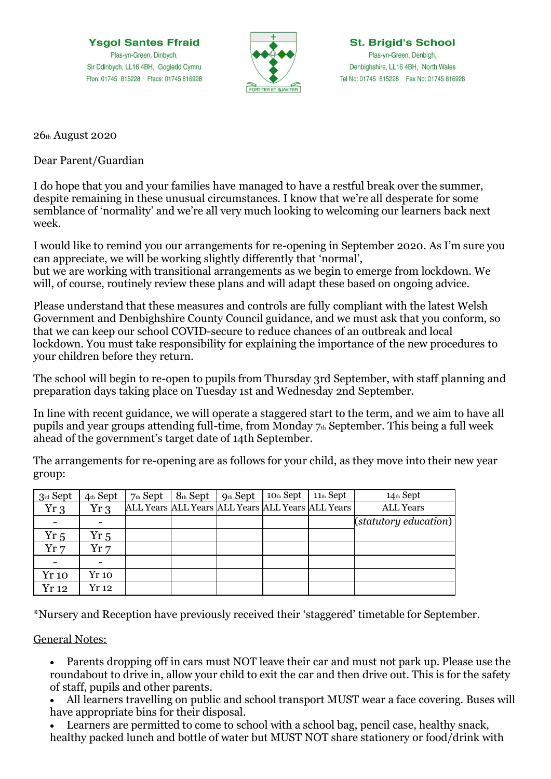**Ysgol Santes Ffraid** Plas-yn-Green, Dinbych, Sir Ddinbych, LL16 4BH, Gogledd Cymru Ffon: 01745 815228 Ffacs: 01745 816928



26th August 2020

Dear Parent/Guardian

I do hope that you and your families have managed to have a restful break over the summer, despite remaining in these unusual circumstances. I know that we're all desperate for some semblance of 'normality' and we're all very much looking to welcoming our learners back next week.

I would like to remind you our arrangements for re-opening in September 2020. As I'm sure you can appreciate, we will be working slightly differently that 'normal', but we are working with transitional arrangements as we begin to emerge from lockdown. We will, of course, routinely review these plans and will adapt these based on ongoing advice.

Please understand that these measures and controls are fully compliant with the latest Welsh Government and Denbighshire County Council guidance, and we must ask that you conform, so that we can keep our school COVID-secure to reduce chances of an outbreak and local lockdown. You must take responsibility for explaining the importance of the new procedures to your children before they return.

The school will begin to re-open to pupils from Thursday 3rd September, with staff planning and preparation days taking place on Tuesday 1st and Wednesday 2nd September.

In line with recent guidance, we will operate a staggered start to the term, and we aim to have all pupils and year groups attending full-time, from Monday  $7<sub>th</sub>$  September. This being a full week ahead of the government's target date of 14th September.

The arrangements for re-opening are as follows for your child, as they move into their new year group:

| 3rd Sept     | 4th Sept     | $7th$ Sept | $8th$ Sept | $Qth$ Sept | 10th Sept | $11th$ Sept                                       | 14th Sept             |
|--------------|--------------|------------|------------|------------|-----------|---------------------------------------------------|-----------------------|
| $Yr_3$       | Yr 3         |            |            |            |           | ALL Years ALL Years ALL Years ALL Years ALL Years | <b>ALL Years</b>      |
|              |              |            |            |            |           |                                                   | (statutory education) |
| $Yr_{5}$     | Yr5          |            |            |            |           |                                                   |                       |
| Yr7          | Yr 7         |            |            |            |           |                                                   |                       |
|              |              |            |            |            |           |                                                   |                       |
| <b>Yr</b> 10 | <b>Yr</b> 10 |            |            |            |           |                                                   |                       |
| Yr 12        | Yr 12        |            |            |            |           |                                                   |                       |

\*Nursery and Reception have previously received their 'staggered' timetable for September.

General Notes:

- Parents dropping off in cars must NOT leave their car and must not park up. Please use the roundabout to drive in, allow your child to exit the car and then drive out. This is for the safety of staff, pupils and other parents.
- All learners travelling on public and school transport MUST wear a face covering. Buses will have appropriate bins for their disposal.
- Learners are permitted to come to school with a school bag, pencil case, healthy snack, healthy packed lunch and bottle of water but MUST NOT share stationery or food/drink with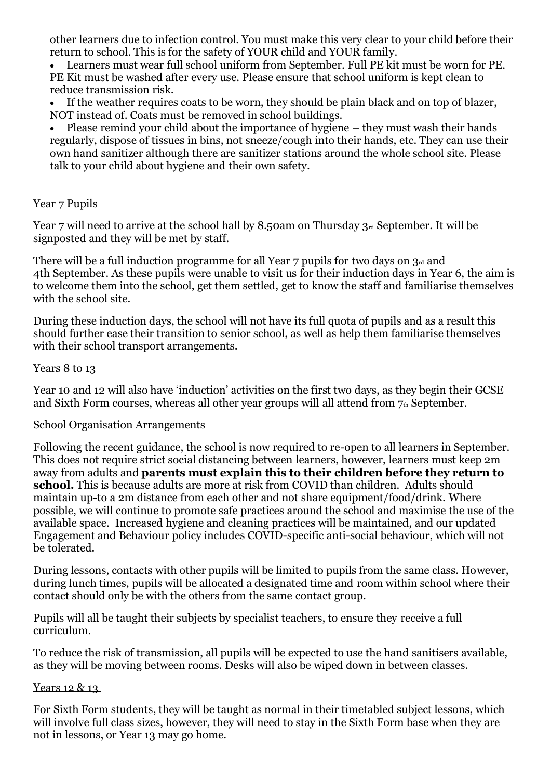other learners due to infection control. You must make this very clear to your child before their return to school. This is for the safety of YOUR child and YOUR family.

• Learners must wear full school uniform from September. Full PE kit must be worn for PE. PE Kit must be washed after every use. Please ensure that school uniform is kept clean to reduce transmission risk.

If the weather requires coats to be worn, they should be plain black and on top of blazer, NOT instead of. Coats must be removed in school buildings.

• Please remind your child about the importance of hygiene – they must wash their hands regularly, dispose of tissues in bins, not sneeze/cough into their hands, etc. They can use their own hand sanitizer although there are sanitizer stations around the whole school site. Please talk to your child about hygiene and their own safety.

## Year 7 Pupils

Year 7 will need to arrive at the school hall by 8.50am on Thursday  $3rd$  September. It will be signposted and they will be met by staff.

There will be a full induction programme for all Year  $7$  pupils for two days on  $3<sub>rd</sub>$  and 4th September. As these pupils were unable to visit us for their induction days in Year 6, the aim is to welcome them into the school, get them settled, get to know the staff and familiarise themselves with the school site.

During these induction days, the school will not have its full quota of pupils and as a result this should further ease their transition to senior school, as well as help them familiarise themselves with their school transport arrangements.

### Years 8 to 13

Year 10 and 12 will also have 'induction' activities on the first two days, as they begin their GCSE and Sixth Form courses, whereas all other year groups will all attend from  $7<sub>th</sub>$  September.

### School Organisation Arrangements

Following the recent guidance, the school is now required to re-open to all learners in September. This does not require strict social distancing between learners, however, learners must keep 2m away from adults and **parents must explain this to their children before they return to school.** This is because adults are more at risk from COVID than children. Adults should maintain up-to a 2m distance from each other and not share equipment/food/drink. Where possible, we will continue to promote safe practices around the school and maximise the use of the available space. Increased hygiene and cleaning practices will be maintained, and our updated Engagement and Behaviour policy includes COVID-specific anti-social behaviour, which will not be tolerated.

During lessons, contacts with other pupils will be limited to pupils from the same class. However, during lunch times, pupils will be allocated a designated time and room within school where their contact should only be with the others from the same contact group.

Pupils will all be taught their subjects by specialist teachers, to ensure they receive a full curriculum.

To reduce the risk of transmission, all pupils will be expected to use the hand sanitisers available, as they will be moving between rooms. Desks will also be wiped down in between classes.

#### Years 12 & 13

For Sixth Form students, they will be taught as normal in their timetabled subject lessons, which will involve full class sizes, however, they will need to stay in the Sixth Form base when they are not in lessons, or Year 13 may go home.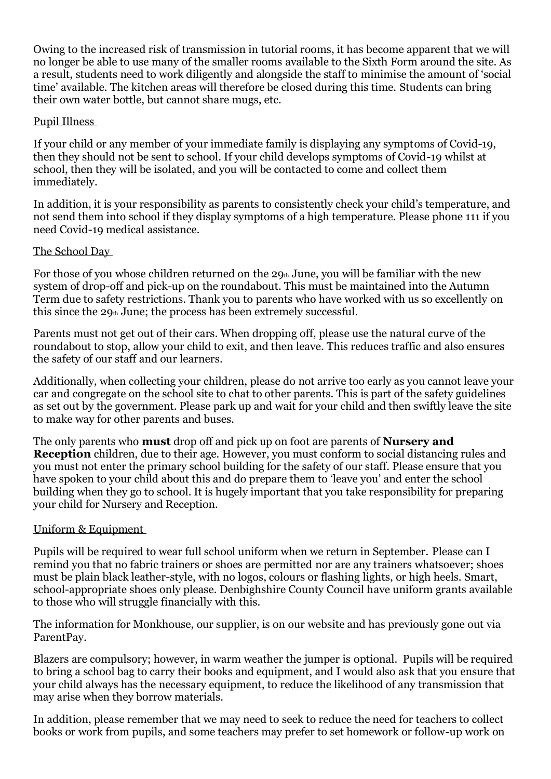Owing to the increased risk of transmission in tutorial rooms, it has become apparent that we will no longer be able to use many of the smaller rooms available to the Sixth Form around the site. As a result, students need to work diligently and alongside the staff to minimise the amount of 'social time' available. The kitchen areas will therefore be closed during this time. Students can bring their own water bottle, but cannot share mugs, etc.

## Pupil Illness

If your child or any member of your immediate family is displaying any symptoms of Covid-19, then they should not be sent to school. If your child develops symptoms of Covid-19 whilst at school, then they will be isolated, and you will be contacted to come and collect them immediately.

In addition, it is your responsibility as parents to consistently check your child's temperature, and not send them into school if they display symptoms of a high temperature. Please phone 111 if you need Covid-19 medical assistance.

# The School Day

For those of you whose children returned on the  $29<sub>th</sub>$  June, you will be familiar with the new system of drop-off and pick-up on the roundabout. This must be maintained into the Autumn Term due to safety restrictions. Thank you to parents who have worked with us so excellently on this since the  $29<sub>th</sub>$  June; the process has been extremely successful.

Parents must not get out of their cars. When dropping off, please use the natural curve of the roundabout to stop, allow your child to exit, and then leave. This reduces traffic and also ensures the safety of our staff and our learners.

Additionally, when collecting your children, please do not arrive too early as you cannot leave your car and congregate on the school site to chat to other parents. This is part of the safety guidelines as set out by the government. Please park up and wait for your child and then swiftly leave the site to make way for other parents and buses.

The only parents who **must** drop off and pick up on foot are parents of **Nursery and Reception** children, due to their age. However, you must conform to social distancing rules and you must not enter the primary school building for the safety of our staff. Please ensure that you have spoken to your child about this and do prepare them to 'leave you' and enter the school building when they go to school. It is hugely important that you take responsibility for preparing your child for Nursery and Reception.

## Uniform & Equipment

Pupils will be required to wear full school uniform when we return in September. Please can I remind you that no fabric trainers or shoes are permitted nor are any trainers whatsoever; shoes must be plain black leather-style, with no logos, colours or flashing lights, or high heels. Smart, school-appropriate shoes only please. Denbighshire County Council have uniform grants available to those who will struggle financially with this.

The information for Monkhouse, our supplier, is on our website and has previously gone out via ParentPay.

Blazers are compulsory; however, in warm weather the jumper is optional. Pupils will be required to bring a school bag to carry their books and equipment, and I would also ask that you ensure that your child always has the necessary equipment, to reduce the likelihood of any transmission that may arise when they borrow materials.

In addition, please remember that we may need to seek to reduce the need for teachers to collect books or work from pupils, and some teachers may prefer to set homework or follow-up work on